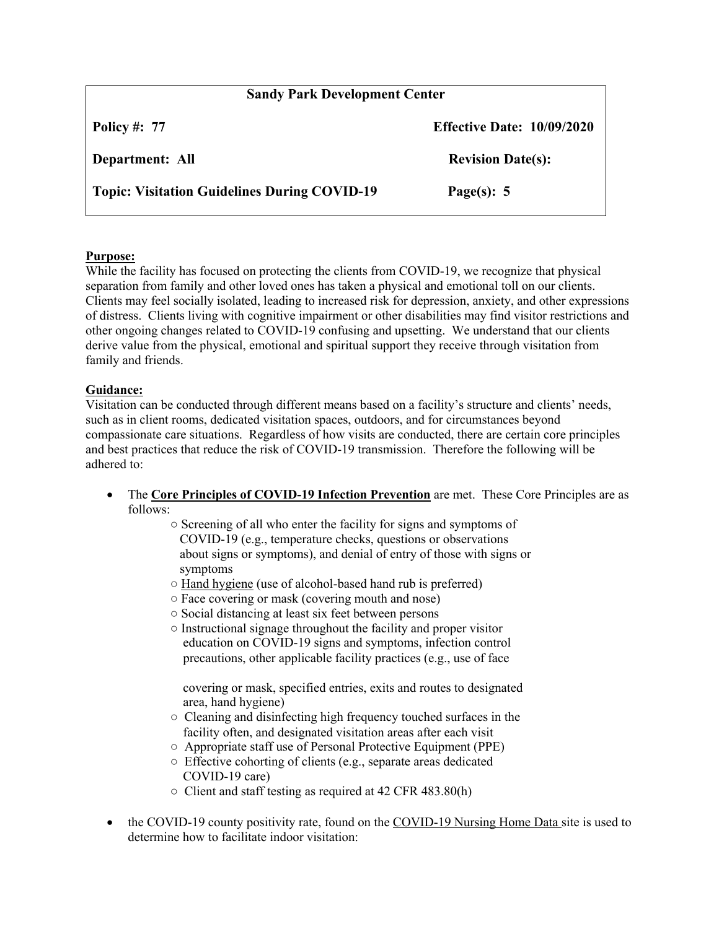| <b>Sandy Park Development Center</b>                |                                   |
|-----------------------------------------------------|-----------------------------------|
| <b>Policy #: 77</b>                                 | <b>Effective Date: 10/09/2020</b> |
| Department: All                                     | <b>Revision Date(s):</b>          |
| <b>Topic: Visitation Guidelines During COVID-19</b> | Page(s): $5$                      |

## **Purpose:**

While the facility has focused on protecting the clients from COVID-19, we recognize that physical separation from family and other loved ones has taken a physical and emotional toll on our clients. Clients may feel socially isolated, leading to increased risk for depression, anxiety, and other expressions of distress. Clients living with cognitive impairment or other disabilities may find visitor restrictions and other ongoing changes related to COVID-19 confusing and upsetting. We understand that our clients derive value from the physical, emotional and spiritual support they receive through visitation from family and friends.

## **Guidance:**

Visitation can be conducted through different means based on a facility's structure and clients' needs, such as in client rooms, dedicated visitation spaces, outdoors, and for circumstances beyond compassionate care situations. Regardless of how visits are conducted, there are certain core principles and best practices that reduce the risk of COVID-19 transmission. Therefore the following will be adhered to:

- The **Core Principles of COVID-19 Infection Prevention** are met. These Core Principles are as follows:
	- Screening of all who enter the facility for signs and symptoms of COVID-19 (e.g., temperature checks, questions or observations about signs or symptoms), and denial of entry of those with signs or symptoms
	- Hand hygiene (use of alcohol-based hand rub is preferred)
	- Face covering or mask (covering mouth and nose)
	- Social distancing at least six feet between persons
	- Instructional signage throughout the facility and proper visitor education on COVID-19 signs and symptoms, infection control precautions, other applicable facility practices (e.g., use of face

 covering or mask, specified entries, exits and routes to designated area, hand hygiene)

- Cleaning and disinfecting high frequency touched surfaces in the facility often, and designated visitation areas after each visit
- Appropriate staff use of Personal Protective Equipment (PPE)
- Effective cohorting of clients (e.g., separate areas dedicated COVID-19 care)
- Client and staff testing as required at 42 CFR 483.80(h)
- the COVID-19 county positivity rate, found on the COVID-19 Nursing Home Data site is used to determine how to facilitate indoor visitation: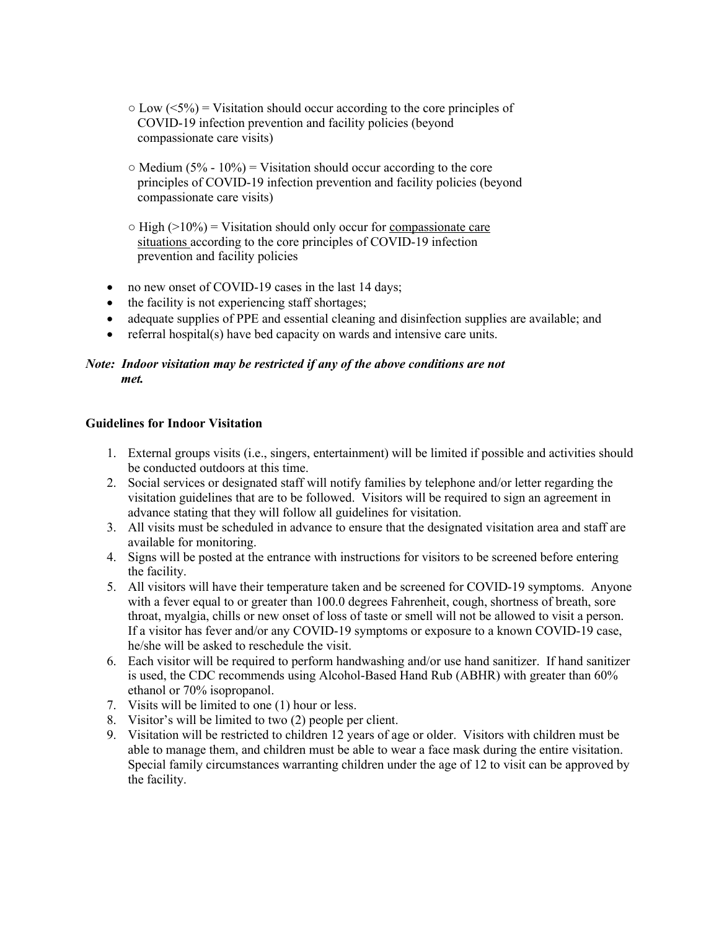- $\circ$  Low ( $\leq$ 5%) = Visitation should occur according to the core principles of COVID-19 infection prevention and facility policies (beyond compassionate care visits)
- $\circ$  Medium (5% 10%) = Visitation should occur according to the core principles of COVID-19 infection prevention and facility policies (beyond compassionate care visits)
- $\circ$  High ( $>10\%$ ) = Visitation should only occur for compassionate care situations according to the core principles of COVID-19 infection prevention and facility policies
- no new onset of COVID-19 cases in the last 14 days;
- the facility is not experiencing staff shortages;
- adequate supplies of PPE and essential cleaning and disinfection supplies are available; and
- $\bullet$  referral hospital(s) have bed capacity on wards and intensive care units.

# *Note: Indoor visitation may be restricted if any of the above conditions are not met.*

### **Guidelines for Indoor Visitation**

- 1. External groups visits (i.e., singers, entertainment) will be limited if possible and activities should be conducted outdoors at this time.
- 2. Social services or designated staff will notify families by telephone and/or letter regarding the visitation guidelines that are to be followed. Visitors will be required to sign an agreement in advance stating that they will follow all guidelines for visitation.
- 3. All visits must be scheduled in advance to ensure that the designated visitation area and staff are available for monitoring.
- 4. Signs will be posted at the entrance with instructions for visitors to be screened before entering the facility.
- 5. All visitors will have their temperature taken and be screened for COVID-19 symptoms. Anyone with a fever equal to or greater than 100.0 degrees Fahrenheit, cough, shortness of breath, sore throat, myalgia, chills or new onset of loss of taste or smell will not be allowed to visit a person. If a visitor has fever and/or any COVID-19 symptoms or exposure to a known COVID-19 case, he/she will be asked to reschedule the visit.
- 6. Each visitor will be required to perform handwashing and/or use hand sanitizer. If hand sanitizer is used, the CDC recommends using Alcohol-Based Hand Rub (ABHR) with greater than 60% ethanol or 70% isopropanol.
- 7. Visits will be limited to one (1) hour or less.
- 8. Visitor's will be limited to two (2) people per client.
- 9. Visitation will be restricted to children 12 years of age or older. Visitors with children must be able to manage them, and children must be able to wear a face mask during the entire visitation. Special family circumstances warranting children under the age of 12 to visit can be approved by the facility.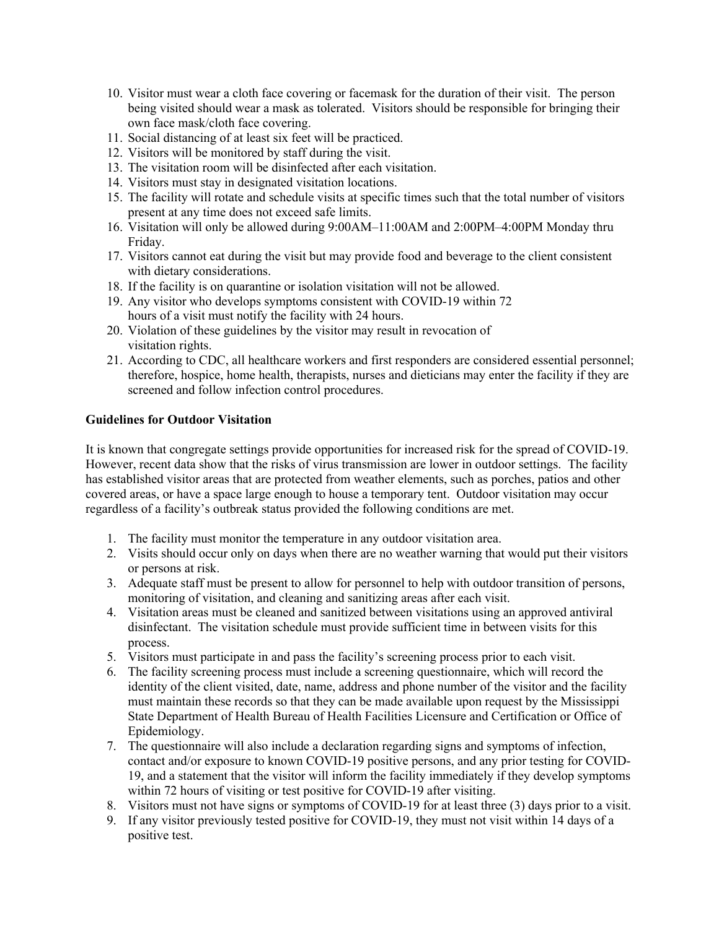- 10. Visitor must wear a cloth face covering or facemask for the duration of their visit. The person being visited should wear a mask as tolerated. Visitors should be responsible for bringing their own face mask/cloth face covering.
- 11. Social distancing of at least six feet will be practiced.
- 12. Visitors will be monitored by staff during the visit.
- 13. The visitation room will be disinfected after each visitation.
- 14. Visitors must stay in designated visitation locations.
- 15. The facility will rotate and schedule visits at specific times such that the total number of visitors present at any time does not exceed safe limits.
- 16. Visitation will only be allowed during 9:00AM–11:00AM and 2:00PM–4:00PM Monday thru Friday.
- 17. Visitors cannot eat during the visit but may provide food and beverage to the client consistent with dietary considerations.
- 18. If the facility is on quarantine or isolation visitation will not be allowed.
- 19. Any visitor who develops symptoms consistent with COVID-19 within 72 hours of a visit must notify the facility with 24 hours.
- 20. Violation of these guidelines by the visitor may result in revocation of visitation rights.
- 21. According to CDC, all healthcare workers and first responders are considered essential personnel; therefore, hospice, home health, therapists, nurses and dieticians may enter the facility if they are screened and follow infection control procedures.

## **Guidelines for Outdoor Visitation**

It is known that congregate settings provide opportunities for increased risk for the spread of COVID-19. However, recent data show that the risks of virus transmission are lower in outdoor settings. The facility has established visitor areas that are protected from weather elements, such as porches, patios and other covered areas, or have a space large enough to house a temporary tent. Outdoor visitation may occur regardless of a facility's outbreak status provided the following conditions are met.

- 1. The facility must monitor the temperature in any outdoor visitation area.
- 2. Visits should occur only on days when there are no weather warning that would put their visitors or persons at risk.
- 3. Adequate staff must be present to allow for personnel to help with outdoor transition of persons, monitoring of visitation, and cleaning and sanitizing areas after each visit.
- 4. Visitation areas must be cleaned and sanitized between visitations using an approved antiviral disinfectant. The visitation schedule must provide sufficient time in between visits for this process.
- 5. Visitors must participate in and pass the facility's screening process prior to each visit.
- 6. The facility screening process must include a screening questionnaire, which will record the identity of the client visited, date, name, address and phone number of the visitor and the facility must maintain these records so that they can be made available upon request by the Mississippi State Department of Health Bureau of Health Facilities Licensure and Certification or Office of Epidemiology.
- 7. The questionnaire will also include a declaration regarding signs and symptoms of infection, contact and/or exposure to known COVID-19 positive persons, and any prior testing for COVID-19, and a statement that the visitor will inform the facility immediately if they develop symptoms within 72 hours of visiting or test positive for COVID-19 after visiting.
- 8. Visitors must not have signs or symptoms of COVID-19 for at least three (3) days prior to a visit.
- 9. If any visitor previously tested positive for COVID-19, they must not visit within 14 days of a positive test.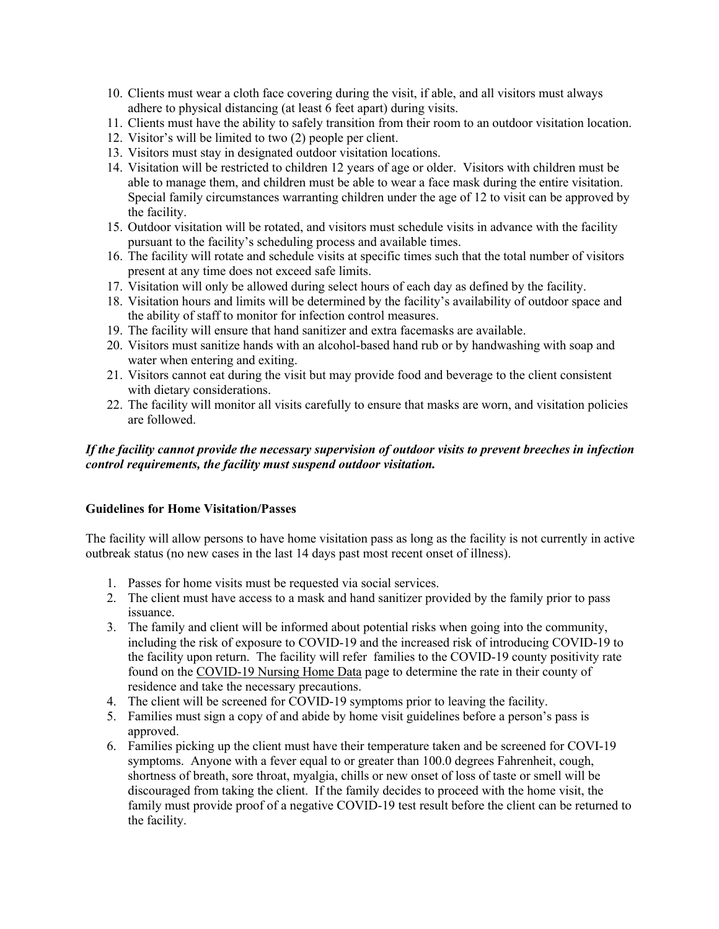- 10. Clients must wear a cloth face covering during the visit, if able, and all visitors must always adhere to physical distancing (at least 6 feet apart) during visits.
- 11. Clients must have the ability to safely transition from their room to an outdoor visitation location.
- 12. Visitor's will be limited to two (2) people per client.
- 13. Visitors must stay in designated outdoor visitation locations.
- 14. Visitation will be restricted to children 12 years of age or older. Visitors with children must be able to manage them, and children must be able to wear a face mask during the entire visitation. Special family circumstances warranting children under the age of 12 to visit can be approved by the facility.
- 15. Outdoor visitation will be rotated, and visitors must schedule visits in advance with the facility pursuant to the facility's scheduling process and available times.
- 16. The facility will rotate and schedule visits at specific times such that the total number of visitors present at any time does not exceed safe limits.
- 17. Visitation will only be allowed during select hours of each day as defined by the facility.
- 18. Visitation hours and limits will be determined by the facility's availability of outdoor space and the ability of staff to monitor for infection control measures.
- 19. The facility will ensure that hand sanitizer and extra facemasks are available.
- 20. Visitors must sanitize hands with an alcohol-based hand rub or by handwashing with soap and water when entering and exiting.
- 21. Visitors cannot eat during the visit but may provide food and beverage to the client consistent with dietary considerations.
- 22. The facility will monitor all visits carefully to ensure that masks are worn, and visitation policies are followed.

### *If the facility cannot provide the necessary supervision of outdoor visits to prevent breeches in infection control requirements, the facility must suspend outdoor visitation.*

#### **Guidelines for Home Visitation/Passes**

The facility will allow persons to have home visitation pass as long as the facility is not currently in active outbreak status (no new cases in the last 14 days past most recent onset of illness).

- 1. Passes for home visits must be requested via social services.
- 2. The client must have access to a mask and hand sanitizer provided by the family prior to pass issuance.
- 3. The family and client will be informed about potential risks when going into the community, including the risk of exposure to COVID-19 and the increased risk of introducing COVID-19 to the facility upon return. The facility will refer families to the COVID-19 county positivity rate found on the COVID-19 Nursing Home Data page to determine the rate in their county of residence and take the necessary precautions.
- 4. The client will be screened for COVID-19 symptoms prior to leaving the facility.
- 5. Families must sign a copy of and abide by home visit guidelines before a person's pass is approved.
- 6. Families picking up the client must have their temperature taken and be screened for COVI-19 symptoms. Anyone with a fever equal to or greater than 100.0 degrees Fahrenheit, cough, shortness of breath, sore throat, myalgia, chills or new onset of loss of taste or smell will be discouraged from taking the client. If the family decides to proceed with the home visit, the family must provide proof of a negative COVID-19 test result before the client can be returned to the facility.